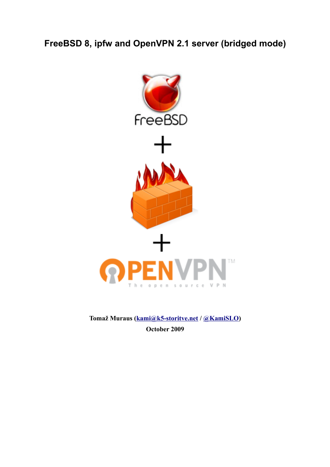**FreeBSD 8, ipfw and OpenVPN 2.1 server (bridged mode)**



**Tomaž Muraus [\(kami@k5-storitve.net](mailto:kami@k5-storitve.net) / [@KamiSLO\)](http://twitter.com/KamiSLO) October 2009**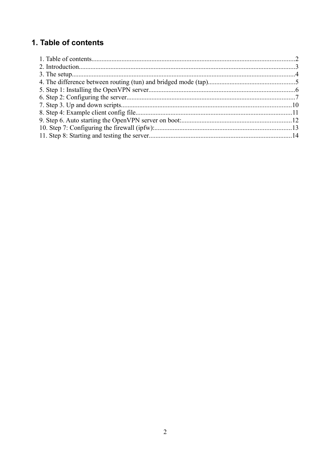# 1. Table of contents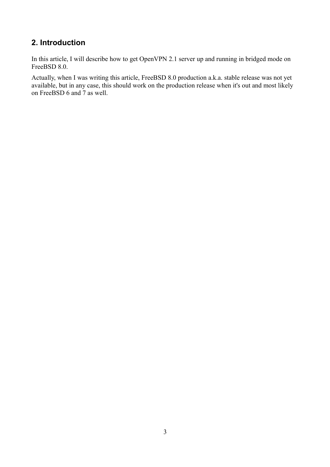## **2. Introduction**

In this article, I will describe how to get OpenVPN 2.1 server up and running in bridged mode on FreeBSD 8.0.

Actually, when I was writing this article, FreeBSD 8.0 production a.k.a. stable release was not yet available, but in any case, this should work on the production release when it's out and most likely on FreeBSD 6 and 7 as well.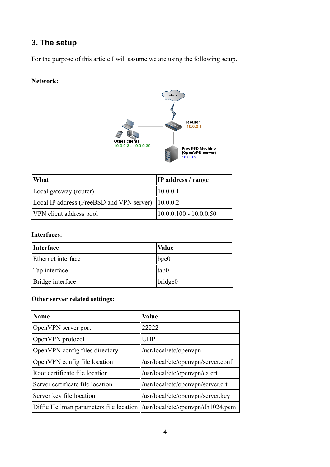# **3. The setup**

For the purpose of this article I will assume we are using the following setup.

#### **Network:**



| $\mathbf{W}$ hat                                               | <b>IP</b> address / range |
|----------------------------------------------------------------|---------------------------|
| $\parallel$ Local gateway (router)                             | $\parallel$ 10.0.0.1      |
| Local IP address (FreeBSD and VPN server) $\parallel$ 10.0.0.2 |                           |
| VPN client address pool                                        | $10.0.0.100 - 10.0.0.50$  |

#### **Interfaces:**

| <i>Interface</i>   | <b>Value</b> |
|--------------------|--------------|
| Ethernet interface | $\ $ bge $0$ |
| $\ $ Tap interface | ∥tap0        |
| Bridge interface   | bridge0      |

### **Other server related settings:**

| ∥Name                                                                       | <b>Value</b>                       |
|-----------------------------------------------------------------------------|------------------------------------|
| OpenVPN server port                                                         | 22222                              |
| OpenVPN protocol                                                            | <b>UDP</b>                         |
| OpenVPN config files directory                                              | /usr/local/etc/openvpn             |
| OpenVPN config file location                                                | /usr/local/etc/openvpn/server.conf |
| Root certificate file location                                              | $/usr/local/etc/openvpn/ca.$ crt   |
| Server certificate file location                                            | /usr/local/etc/openypn/server.crt  |
| Server key file location                                                    | /usr/local/etc/openvpn/server.key  |
| Diffie Hellman parameters file location   /usr/local/etc/openypn/dh1024.pem |                                    |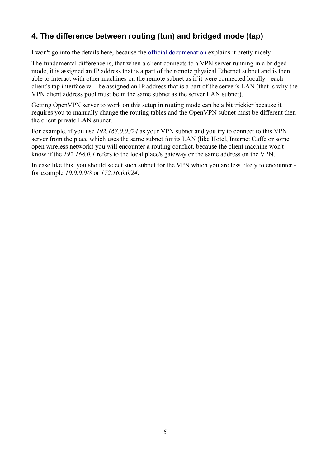# **4. The difference between routing (tun) and bridged mode (tap)**

I won't go into the details here, because the [official documenation](http://openvpn.net/index.php/open-source/faq.html#bridge1) explains it pretty nicely.

The fundamental difference is, that when a client connects to a VPN server running in a bridged mode, it is assigned an IP address that is a part of the remote physical Ethernet subnet and is then able to interact with other machines on the remote subnet as if it were connected locally - each client's tap interface will be assigned an IP address that is a part of the server's LAN (that is why the VPN client address pool must be in the same subnet as the server LAN subnet).

Getting OpenVPN server to work on this setup in routing mode can be a bit trickier because it requires you to manually change the routing tables and the OpenVPN subnet must be different then the client private LAN subnet.

For example, if you use *192.168.0.0./24* as your VPN subnet and you try to connect to this VPN server from the place which uses the same subnet for its LAN (like Hotel, Internet Caffe or some open wireless network) you will encounter a routing conflict, because the client machine won't know if the *192.168.0.1* refers to the local place's gateway or the same address on the VPN.

In case like this, you should select such subnet for the VPN which you are less likely to encounter for example *10.0.0.0/8* or *172.16.0.0/24*.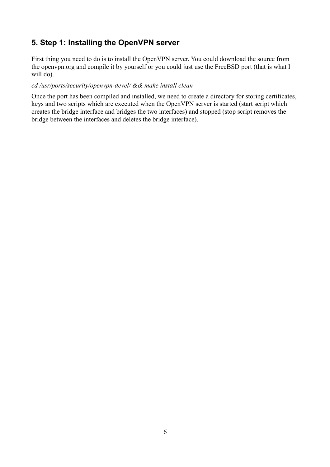## **5. Step 1: Installing the OpenVPN server**

First thing you need to do is to install the OpenVPN server. You could download the source from the openvpn.org and compile it by yourself or you could just use the FreeBSD port (that is what I will do).

#### *cd /usr/ports/security/openvpn-devel/ && make install clean*

Once the port has been compiled and installed, we need to create a directory for storing certificates, keys and two scripts which are executed when the OpenVPN server is started (start script which creates the bridge interface and bridges the two interfaces) and stopped (stop script removes the bridge between the interfaces and deletes the bridge interface).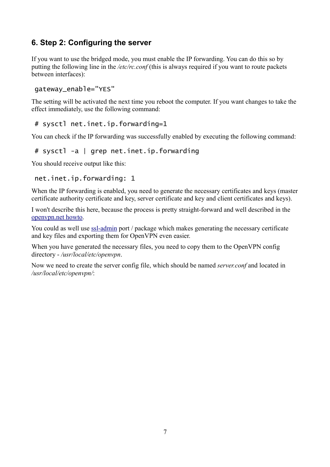## **6. Step 2: Configuring the server**

If you want to use the bridged mode, you must enable the IP forwarding. You can do this so by putting the following line in the */etc/rc.conf* (this is always required if you want to route packets between interfaces):

#### gateway\_enable="YES"

The setting will be activated the next time you reboot the computer. If you want changes to take the effect immediately, use the following command:

# sysctl net.inet.ip.forwarding=1

You can check if the IP forwarding was successfully enabled by executing the following command:

# sysctl -a | grep net.inet.ip.forwarding

You should receive output like this:

```
net.inet.ip.forwarding: 1
```
When the IP forwarding is enabled, you need to generate the necessary certificates and keys (master certificate authority certificate and key, server certificate and key and client certificates and keys).

I won't describe this here, because the process is pretty straight-forward and well described in the [openvpn.net howto.](http://openvpn.net/index.php/open-source/documentation/howto.html#pki)

You could as well use [ssl-admin](http://www.freshports.org/security/ssl-admin/) port / package which makes generating the necessary certificate and key files and exporting them for OpenVPN even easier.

When you have generated the necessary files, you need to copy them to the OpenVPN config directory - */usr/local/etc/openvpn*.

Now we need to create the server config file, which should be named *server.conf* and located in */usr/local/etc/openvpn/*: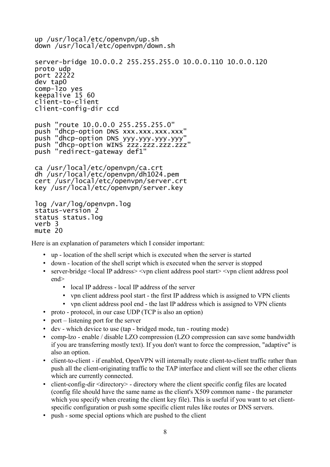```
up /usr/local/etc/openvpn/up.sh
down /usr/local/etc/openvpn/down.sh
server-bridge 10.0.0.2 255.255.255.0 10.0.0.110 10.0.0.120
proto udp
port 22222
dev tap0
comp-lzo yes
keepalive 15 60
client-to-client
client-config-dir ccd
push "route 10.0.0.0 255.255.255.0"
push "dhcp-option DNS xxx.xxx.xxx.xxx"
push "dhcp-option DNS yyy.yyy.yyy.yyy"
push "dhcp-option WINS zzz.zzz.zzz.zzz"
push "redirect-gateway def1"
ca /usr/local/etc/openvpn/ca.crt
dh /usr/local/etc/openvpn/dh1024.pem
cert /usr/local/etc/openvpn/server.crt
key /usr/local/etc/openvpn/server.key
log /var/log/openvpn.log
status-version 2
status status.log
verb 3
```
Here is an explanation of parameters which I consider important:

- up location of the shell script which is executed when the server is started
- down location of the shell script which is executed when the server is stopped
- server-bridge <local IP address> <vpn client address pool start> <vpn client address pool end>
	- local IP address local IP address of the server
	- vpn client address pool start the first IP address which is assigned to VPN clients
	- vpn client address pool end the last IP address which is assigned to VPN clients
- proto protocol, in our case UDP (TCP is also an option)
- port listening port for the server

mute 20

- dev which device to use (tap bridged mode, tun routing mode)
- comp-lzo enable / disable LZO compression (LZO compression can save some bandwidth if you are transferring mostly text). If you don't want to force the compression, "adaptive" is also an option.
- client-to-client if enabled, OpenVPN will internally route client-to-client traffic rather than push all the client-originating traffic to the TAP interface and client will see the other clients which are currently connected.
- client-config-dir <directory> directory where the client specific config files are located (config file should have the same name as the client's X509 common name - the parameter which you specify when creating the client key file). This is useful if you want to set clientspecific configuration or push some specific client rules like routes or DNS servers.
- push some special options which are pushed to the client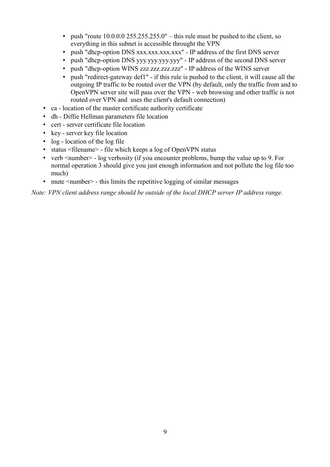- push "route  $10.0.0$   $0.255.255.255.0$ " this rule must be pushed to the client, so everything in this subnet is accessible throught the VPN
- push "dhcp-option DNS xxx.xxx.xxx.xxx" IP address of the first DNS server
- push "dhcp-option DNS yyy.yyy.yyy.yyy" IP address of the second DNS server
- push "dhcp-option WINS zzz.zzz.zzz.zzz" IP address of the WINS server
- push "redirect-gateway def1" if this rule is pushed to the client, it will cause all the outgoing IP traffic to be routed over the VPN (by default, only the traffic from and to OpenVPN server site will pass over the VPN - web browsing and other traffic is not routed over VPN and uses the client's default connection)
- ca location of the master certificate authority certificate
- dh Diffie Hellman parameters file location
- cert server certificate file location
- key server key file location
- log location of the log file
- status <filename> file which keeps a log of OpenVPN status
- verb  $\leq$  number $\geq$  log verbosity (if you encounter problems, bump the value up to 9. For normal operation 3 should give you just enough information and not pollute the log file too much)
- mute  $\leq$  mute  $\leq$  this limits the repetitive logging of similar messages

*Note: VPN client address range should be outside of the local DHCP server IP address range.*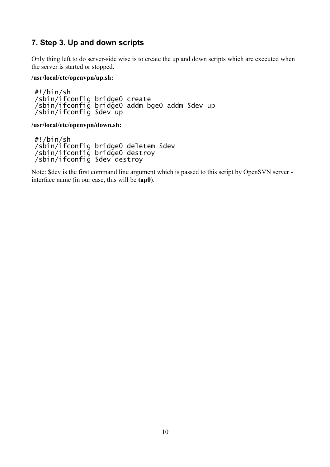### **7. Step 3. Up and down scripts**

Only thing left to do server-side wise is to create the up and down scripts which are executed when the server is started or stopped.

#### **/usr/local/etc/openvpn/up.sh:**

#!/bin/sh /sbin/ifconfig bridge0 create /sbin/ifconfig bridge0 addm bge0 addm \$dev up /sbin/ifconfig \$dev up

**/usr/local/etc/openvpn/down.sh:**

#!/bin/sh /sbin/ifconfig bridge0 deletem \$dev /sbin/ifconfig bridge0 destroy /sbin/ifconfig \$dev destroy

Note: \$dev is the first command line argument which is passed to this script by OpenSVN server interface name (in our case, this will be **tap0**).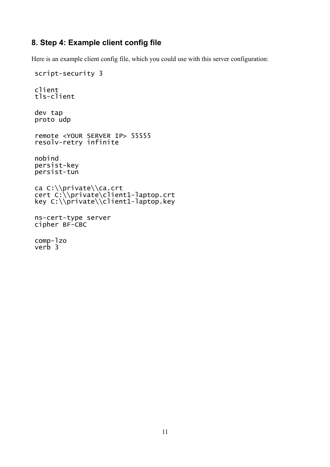### **8. Step 4: Example client config file**

Here is an example client config file, which you could use with this server configuration:

```
script-security 3
client
tls-client
dev tap
proto udp
remote <YOUR SERVER IP> 55555
resolv-retry infinite
nobind
persist-key
persist-tun
ca C:\\private\\ca.crt
cert C:\\private\client1-laptop.crt
key C:\\private\\client1-laptop.key
ns-cert-type server
cipher BF-CBC
comp-lzo
verb 3
```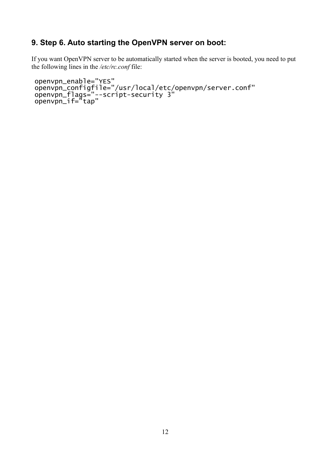## **9. Step 6. Auto starting the OpenVPN server on boot:**

If you want OpenVPN server to be automatically started when the server is booted, you need to put the following lines in the */etc/rc.conf* file:

```
openvpn_enable="YES"
openvpn_configfile="/usr/local/etc/openvpn/server.conf"
openvpn_flags="--script-security 3"
openvpn_if="tap"
```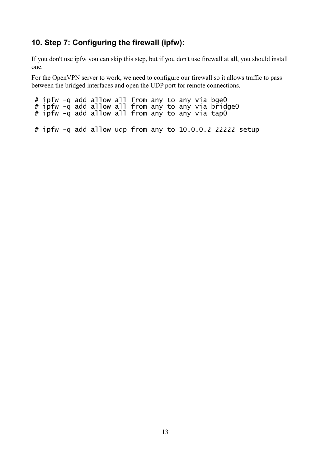### **10. Step 7: Configuring the firewall (ipfw):**

If you don't use ipfw you can skip this step, but if you don't use firewall at all, you should install one.

For the OpenVPN server to work, we need to configure our firewall so it allows traffic to pass between the bridged interfaces and open the UDP port for remote connections.

# ipfw -q add allow all from any to any via bge0 # ipfw -q add allow all from any to any via bridge0 # ipfw -q add allow all from any to any via tap0 # ipfw -q add allow udp from any to 10.0.0.2 22222 setup